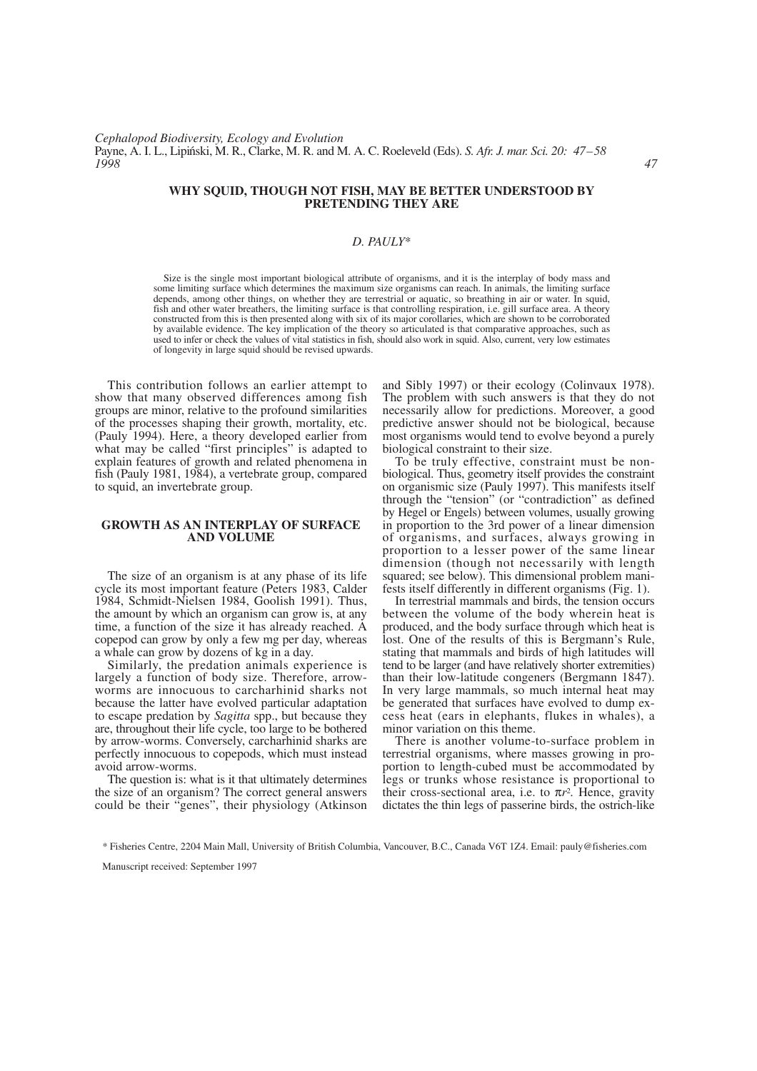# **WHY SQUID, THOUGH NOT FISH, MAY BE BETTER UNDERSTOOD BY PRETENDING THEY ARE**

# *D. PAULY*\*

Size is the single most important biological attribute of organisms, and it is the interplay of body mass and some limiting surface which determines the maximum size organisms can reach. In animals, the limiting surface depends, among other things, on whether they are terrestrial or aquatic, so breathing in air or water. In squid, fish and other water breathers, the limiting surface is that controlling respiration, i.e. gill surface area. A theory constructed from this is then presented along with six of its major corollaries, which are shown to be corroborated by available evidence. The key implication of the theory so articulated is that comparative approaches, such as used to infer or check the values of vital statistics in fish, should also work in squid. Also, current, very low estimates of longevity in large squid should be revised upwards.

This contribution follows an earlier attempt to show that many observed differences among fish groups are minor, relative to the profound similarities of the processes shaping their growth, mortality, etc. (Pauly 1994). Here, a theory developed earlier from what may be called "first principles" is adapted to explain features of growth and related phenomena in fish (Pauly 1981, 1984), a vertebrate group, compared to squid, an invertebrate group.

# **GROWTH AS AN INTERPLAY OF SURFACE AND VOLUME**

The size of an organism is at any phase of its life cycle its most important feature (Peters 1983, Calder 1984, Schmidt-Nielsen 1984, Goolish 1991). Thus, the amount by which an organism can grow is, at any time, a function of the size it has already reached. A copepod can grow by only a few mg per day, whereas a whale can grow by dozens of kg in a day.

Similarly, the predation animals experience is largely a function of body size. Therefore, arrowworms are innocuous to carcharhinid sharks not because the latter have evolved particular adaptation to escape predation by *Sagitta* spp., but because they are, throughout their life cycle, too large to be bothered by arrow-worms. Conversely, carcharhinid sharks are perfectly innocuous to copepods, which must instead avoid arrow-worms.

The question is: what is it that ultimately determines the size of an organism? The correct general answers could be their "genes", their physiology (Atkinson

and Sibly 1997) or their ecology (Colinvaux 1978). The problem with such answers is that they do not necessarily allow for predictions. Moreover, a good predictive answer should not be biological, because most organisms would tend to evolve beyond a purely biological constraint to their size.

To be truly effective, constraint must be nonbiological. Thus, geometry itself provides the constraint on organismic size (Pauly 1997). This manifests itself through the "tension" (or "contradiction" as defined by Hegel or Engels) between volumes, usually growing in proportion to the 3rd power of a linear dimension of organisms, and surfaces, always growing in proportion to a lesser power of the same linear dimension (though not necessarily with length squared; see below). This dimensional problem manifests itself differently in different organisms (Fig. 1).

In terrestrial mammals and birds, the tension occurs between the volume of the body wherein heat is produced, and the body surface through which heat is lost. One of the results of this is Bergmann's Rule, stating that mammals and birds of high latitudes will tend to be larger (and have relatively shorter extremities) than their low-latitude congeners (Bergmann 1847). In very large mammals, so much internal heat may be generated that surfaces have evolved to dump excess heat (ears in elephants, flukes in whales), a minor variation on this theme.

There is another volume-to-surface problem in terrestrial organisms, where masses growing in proportion to length-cubed must be accommodated by legs or trunks whose resistance is proportional to their cross-sectional area, i.e. to  $\pi r^2$ . Hence, gravity dictates the thin legs of passerine birds, the ostrich-like

Manuscript received: September 1997

<sup>\*</sup> Fisheries Centre, 2204 Main Mall, University of British Columbia, Vancouver, B.C., Canada V6T 1Z4. Email: pauly@fisheries.com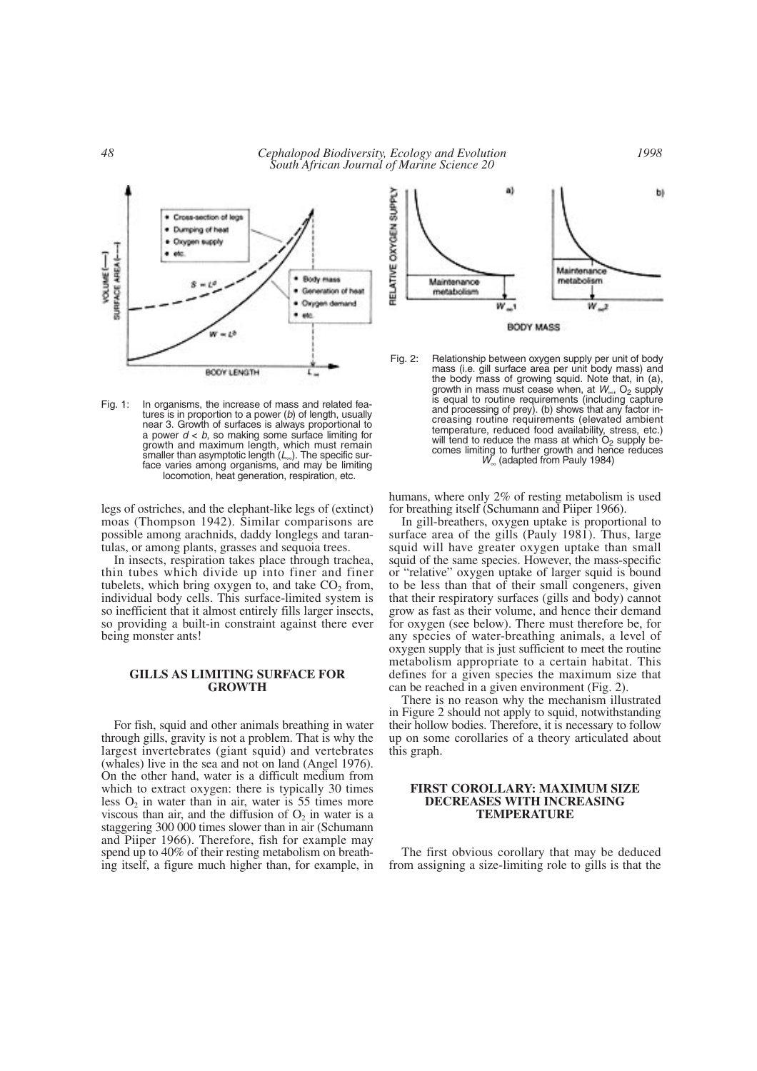*48 Cephalopod Biodiversity, Ecology and Evolution South African Journal of Marine Science 20*



Fig. 1: In organisms, the increase of mass and related features is in proportion to a power (*b*) of length, usually near 3. Growth of surfaces is always proportional to a power *d* < *b*, so making some surface limiting for growth and maximum length, which must remain smaller than asymptotic length (L<sub>∞</sub>). The specific surface varies among organisms, and may be limiting locomotion, heat generation, respiration, etc.

legs of ostriches, and the elephant-like legs of (extinct) moas (Thompson 1942). Similar comparisons are possible among arachnids, daddy longlegs and tarantulas, or among plants, grasses and sequoia trees.

In insects, respiration takes place through trachea, thin tubes which divide up into finer and finer tubelets, which bring oxygen to, and take  $CO<sub>2</sub>$  from, individual body cells. This surface-limited system is so inefficient that it almost entirely fills larger insects, so providing a built-in constraint against there ever being monster ants!

#### **GILLS AS LIMITING SURFACE FOR GROWTH**

For fish, squid and other animals breathing in water through gills, gravity is not a problem. That is why the largest invertebrates (giant squid) and vertebrates (whales) live in the sea and not on land (Angel 1976). On the other hand, water is a difficult medium from which to extract oxygen: there is typically 30 times less  $O_2$  in water than in air, water is 55 times more viscous than air, and the diffusion of  $O_2$  in water is a staggering 300 000 times slower than in air (Schumann and Piiper 1966). Therefore, fish for example may spend up to 40% of their resting metabolism on breathing itself, a figure much higher than, for example, in



Fig. 2: Relationship between oxygen supply per unit of body mass (i.e. gill surface area per unit body mass) and the body mass of growing squid. Note that, in (a), growth in mass must cease when, at *W*<sub>∞</sub>, O<sub>2</sub> supply is equal to routine requirements (including capture and processing of prey). (b) shows that any factor increasing routine requirements (elevated ambient temperature, reduced food availability, stress, etc.) will tend to reduce the mass at which  $O<sub>2</sub>$  supply becomes limiting to further growth and hence reduces *W*<sub>∞</sub> (adapted from Pauly 1984)

humans, where only 2% of resting metabolism is used for breathing itself (Schumann and Piiper 1966).

In gill-breathers, oxygen uptake is proportional to surface area of the gills (Pauly 1981). Thus, large squid will have greater oxygen uptake than small squid of the same species. However, the mass-specific or "relative" oxygen uptake of larger squid is bound to be less than that of their small congeners, given that their respiratory surfaces (gills and body) cannot grow as fast as their volume, and hence their demand for oxygen (see below). There must therefore be, for any species of water-breathing animals, a level of oxygen supply that is just sufficient to meet the routine metabolism appropriate to a certain habitat. This defines for a given species the maximum size that can be reached in a given environment (Fig. 2).

There is no reason why the mechanism illustrated in Figure 2 should not apply to squid, notwithstanding their hollow bodies. Therefore, it is necessary to follow up on some corollaries of a theory articulated about this graph.

### **FIRST COROLLARY: MAXIMUM SIZE DECREASES WITH INCREASING TEMPERATURE**

The first obvious corollary that may be deduced from assigning a size-limiting role to gills is that the

*1998*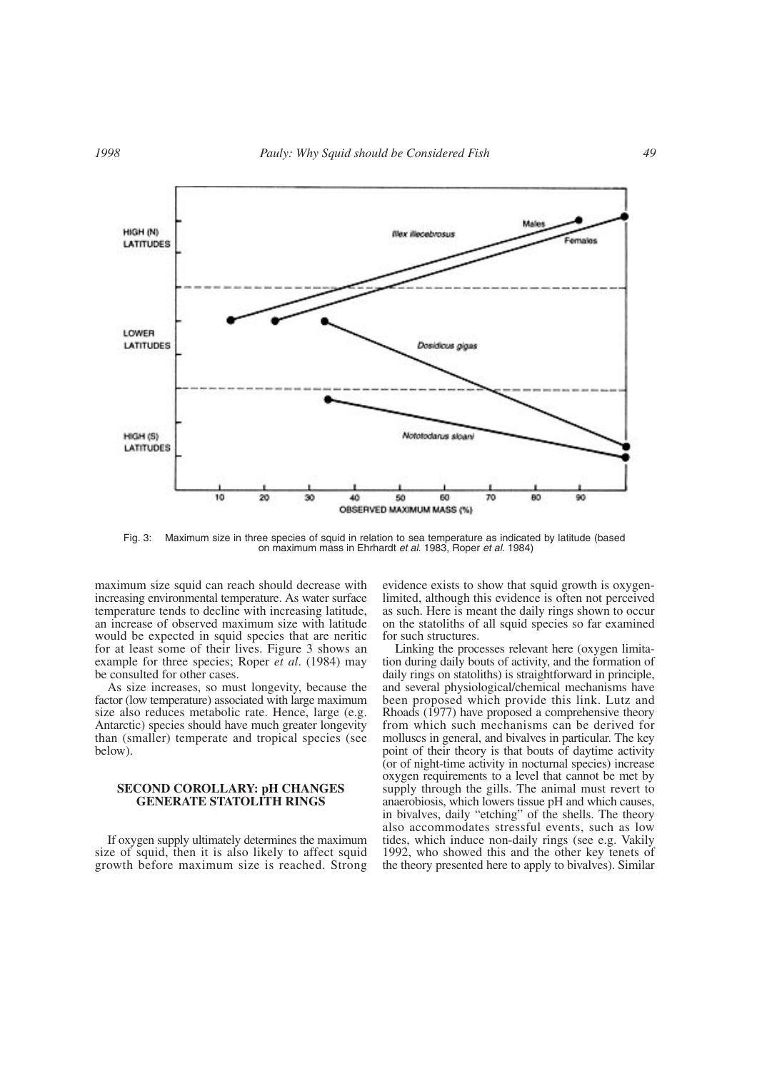

Fig. 3: Maximum size in three species of squid in relation to sea temperature as indicated by latitude (based on maximum mass in Ehrhardt *et al*. 1983, Roper *et al*. 1984)

maximum size squid can reach should decrease with increasing environmental temperature. As water surface temperature tends to decline with increasing latitude, an increase of observed maximum size with latitude would be expected in squid species that are neritic for at least some of their lives. Figure 3 shows an example for three species; Roper *et al*. (1984) may be consulted for other cases.

As size increases, so must longevity, because the factor (low temperature) associated with large maximum size also reduces metabolic rate. Hence, large (e.g. Antarctic) species should have much greater longevity than (smaller) temperate and tropical species (see below).

# **SECOND COROLLARY: pH CHANGES GENERATE STATOLITH RINGS**

If oxygen supply ultimately determines the maximum size of squid, then it is also likely to affect squid growth before maximum size is reached. Strong evidence exists to show that squid growth is oxygenlimited, although this evidence is often not perceived as such. Here is meant the daily rings shown to occur on the statoliths of all squid species so far examined for such structures.

Linking the processes relevant here (oxygen limitation during daily bouts of activity, and the formation of daily rings on statoliths) is straightforward in principle, and several physiological/chemical mechanisms have been proposed which provide this link. Lutz and Rhoads (1977) have proposed a comprehensive theory from which such mechanisms can be derived for molluscs in general, and bivalves in particular. The key point of their theory is that bouts of daytime activity (or of night-time activity in nocturnal species) increase oxygen requirements to a level that cannot be met by supply through the gills. The animal must revert to anaerobiosis, which lowers tissue pH and which causes, in bivalves, daily "etching" of the shells. The theory also accommodates stressful events, such as low tides, which induce non-daily rings (see e.g. Vakily 1992, who showed this and the other key tenets of the theory presented here to apply to bivalves). Similar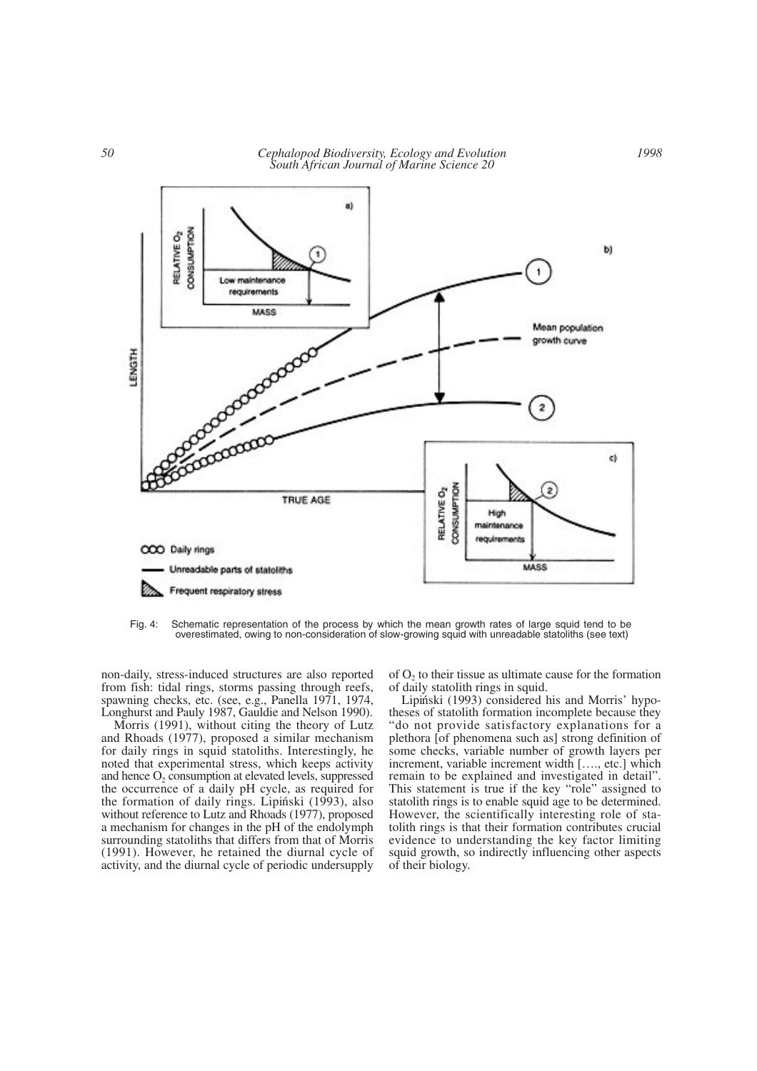*50 Cephalopod Biodiversity, Ecology and Evolution South African Journal of Marine Science 20*



Fig. 4: Schematic representation of the process by which the mean growth rates of large squid tend to be overestimated, owing to non-consideration of slow-growing squid with unreadable statoliths (see text)

non-daily, stress-induced structures are also reported from fish: tidal rings, storms passing through reefs, spawning checks, etc. (see, e.g., Panella 1971, 1974, Longhurst and Pauly 1987, Gauldie and Nelson 1990).

Morris (1991), without citing the theory of Lutz and Rhoads (1977), proposed a similar mechanism for daily rings in squid statoliths. Interestingly, he noted that experimental stress, which keeps activity and hence  $O_2$  consumption at elevated levels, suppressed the occurrence of a daily pH cycle, as required for the formation of daily rings. Lipiński (1993), also without reference to Lutz and Rhoads (1977), proposed a mechanism for changes in the pH of the endolymph surrounding statoliths that differs from that of Morris (1991). However, he retained the diurnal cycle of activity, and the diurnal cycle of periodic undersupply of  $O<sub>2</sub>$  to their tissue as ultimate cause for the formation of daily statolith rings in squid.

Lipiński (1993) considered his and Morris' hypotheses of statolith formation incomplete because they "do not provide satisfactory explanations for a plethora [of phenomena such as] strong definition of some checks, variable number of growth layers per increment, variable increment width […., etc.] which remain to be explained and investigated in detail". This statement is true if the key "role" assigned to statolith rings is to enable squid age to be determined. However, the scientifically interesting role of statolith rings is that their formation contributes crucial evidence to understanding the key factor limiting squid growth, so indirectly influencing other aspects of their biology.

*1998*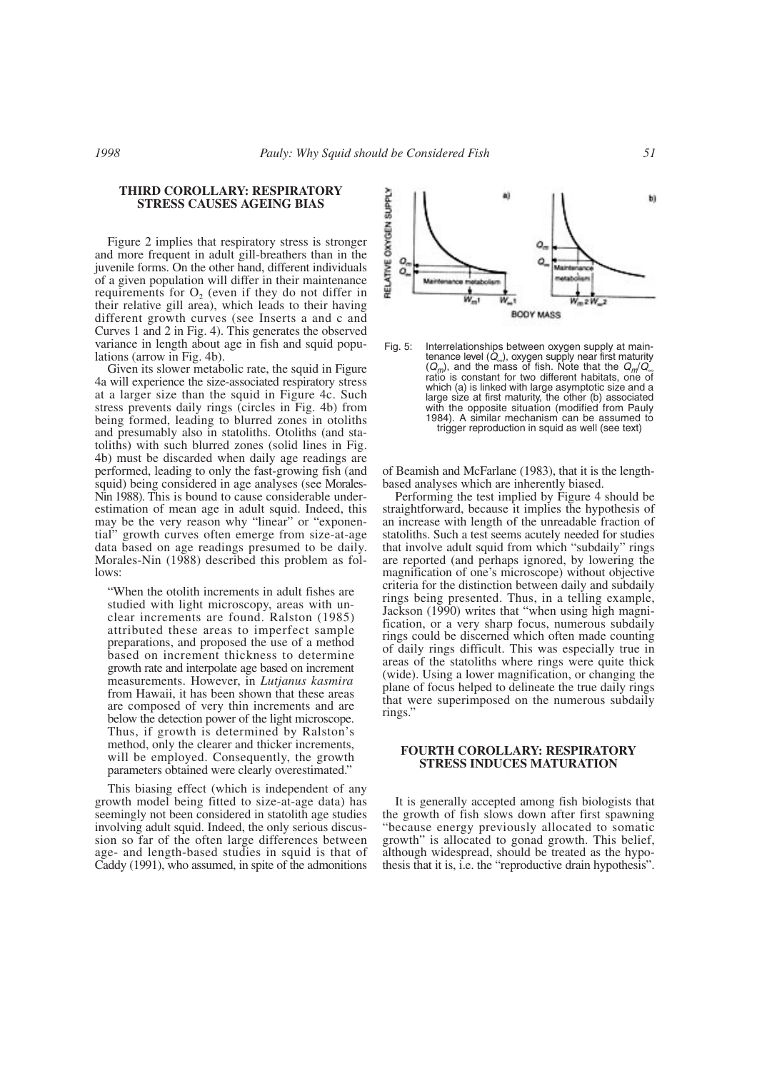# **THIRD COROLLARY: RESPIRATORY STRESS CAUSES AGEING BIAS**

Figure 2 implies that respiratory stress is stronger and more frequent in adult gill-breathers than in the juvenile forms. On the other hand, different individuals of a given population will differ in their maintenance requirements for  $O<sub>2</sub>$  (even if they do not differ in their relative gill area), which leads to their having different growth curves (see Inserts a and c and Curves 1 and 2 in Fig. 4). This generates the observed variance in length about age in fish and squid populations (arrow in Fig. 4b).

Given its slower metabolic rate, the squid in Figure 4a will experience the size-associated respiratory stress at a larger size than the squid in Figure 4c. Such stress prevents daily rings (circles in Fig. 4b) from being formed, leading to blurred zones in otoliths and presumably also in statoliths. Otoliths (and statoliths) with such blurred zones (solid lines in Fig. 4b) must be discarded when daily age readings are performed, leading to only the fast-growing fish (and squid) being considered in age analyses (see Morales-Nin 1988). This is bound to cause considerable underestimation of mean age in adult squid. Indeed, this may be the very reason why "linear" or "exponential" growth curves often emerge from size-at-age data based on age readings presumed to be daily. Morales-Nin (1988) described this problem as follows:

"When the otolith increments in adult fishes are studied with light microscopy, areas with unclear increments are found. Ralston (1985) attributed these areas to imperfect sample preparations, and proposed the use of a method based on increment thickness to determine growth rate and interpolate age based on increment measurements. However, in *Lutjanus kasmira* from Hawaii, it has been shown that these areas are composed of very thin increments and are below the detection power of the light microscope. Thus, if growth is determined by Ralston's method, only the clearer and thicker increments, will be employed. Consequently, the growth parameters obtained were clearly overestimated."

This biasing effect (which is independent of any growth model being fitted to size-at-age data) has seemingly not been considered in statolith age studies involving adult squid. Indeed, the only serious discussion so far of the often large differences between age- and length-based studies in squid is that of Caddy (1991), who assumed, in spite of the admonitions



Fig. 5: Interrelationships between oxygen supply at maintenance level (*Q*∞), oxygen supply near first maturity (*Qm*), and the mass of fish. Note that the *Qm*/*Q*<sup>∞</sup> ratio is constant for two different habitats, one of which (a) is linked with large asymptotic size and a large size at first maturity, the other (b) associated with the opposite situation (modified from Pauly 1984). A similar mechanism can be assumed to trigger reproduction in squid as well (see text)

of Beamish and McFarlane (1983), that it is the lengthbased analyses which are inherently biased.

Performing the test implied by Figure 4 should be straightforward, because it implies the hypothesis of an increase with length of the unreadable fraction of statoliths. Such a test seems acutely needed for studies that involve adult squid from which "subdaily" rings are reported (and perhaps ignored, by lowering the magnification of one's microscope) without objective criteria for the distinction between daily and subdaily rings being presented. Thus, in a telling example, Jackson (1990) writes that "when using high magnification, or a very sharp focus, numerous subdaily rings could be discerned which often made counting of daily rings difficult. This was especially true in areas of the statoliths where rings were quite thick (wide). Using a lower magnification, or changing the plane of focus helped to delineate the true daily rings that were superimposed on the numerous subdaily rings."

## **FOURTH COROLLARY: RESPIRATORY STRESS INDUCES MATURATION**

It is generally accepted among fish biologists that the growth of fish slows down after first spawning "because energy previously allocated to somatic growth" is allocated to gonad growth. This belief, although widespread, should be treated as the hypothesis that it is, i.e. the "reproductive drain hypothesis".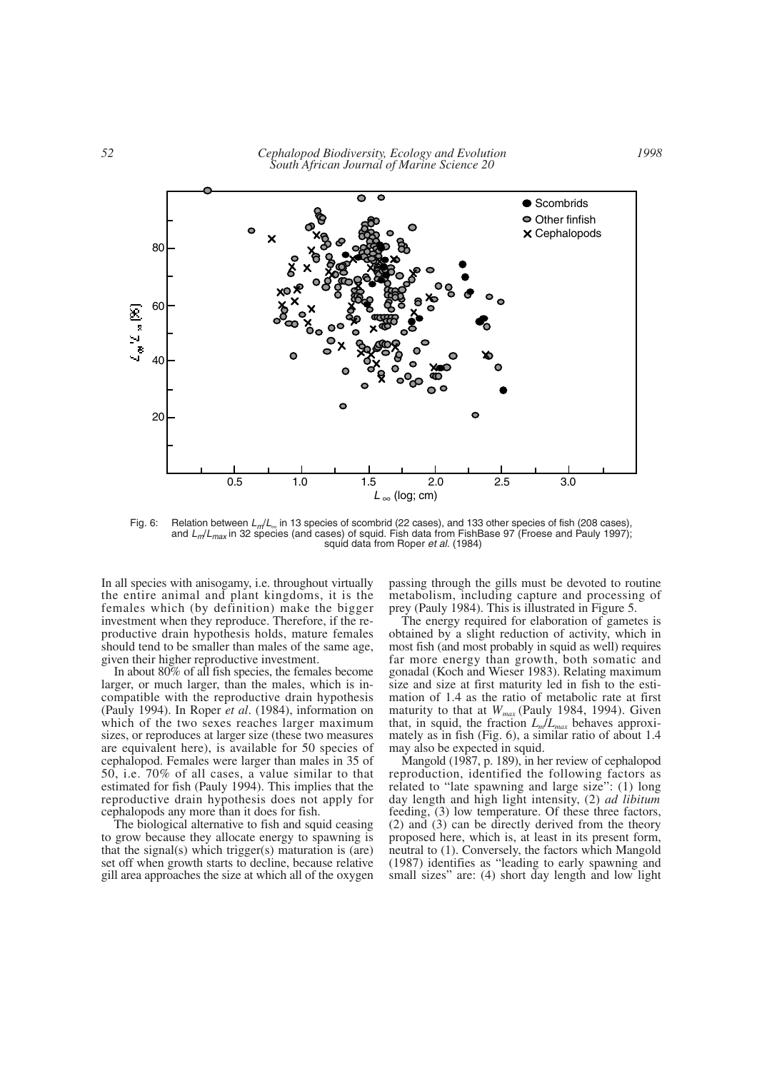

Fig. 6: Relation between *Lm*/*L*<sup>∞</sup> in 13 species of scombrid (22 cases), and 133 other species of fish (208 cases), and *L<sub>m</sub>*/*L<sub>max</sub>* in 32 species (and cases) of squid. Fish data from FishBase 97 (Froese and Pauly 1997); squid data from Roper *et al*. (1984)

In all species with anisogamy, i.e. throughout virtually the entire animal and plant kingdoms, it is the females which (by definition) make the bigger investment when they reproduce. Therefore, if the reproductive drain hypothesis holds, mature females should tend to be smaller than males of the same age, given their higher reproductive investment.

In about 80% of all fish species, the females become larger, or much larger, than the males, which is incompatible with the reproductive drain hypothesis (Pauly 1994). In Roper *et al*. (1984), information on which of the two sexes reaches larger maximum sizes, or reproduces at larger size (these two measures are equivalent here), is available for 50 species of cephalopod. Females were larger than males in 35 of 50, i.e. 70% of all cases, a value similar to that estimated for fish (Pauly 1994). This implies that the reproductive drain hypothesis does not apply for cephalopods any more than it does for fish.

The biological alternative to fish and squid ceasing to grow because they allocate energy to spawning is that the signal(s) which trigger(s) maturation is (are) set off when growth starts to decline, because relative gill area approaches the size at which all of the oxygen passing through the gills must be devoted to routine metabolism, including capture and processing of prey (Pauly 1984). This is illustrated in Figure 5.

The energy required for elaboration of gametes is obtained by a slight reduction of activity, which in most fish (and most probably in squid as well) requires far more energy than growth, both somatic and gonadal (Koch and Wieser 1983). Relating maximum size and size at first maturity led in fish to the estimation of 1.4 as the ratio of metabolic rate at first maturity to that at *Wmax* (Pauly 1984, 1994). Given that, in squid, the fraction *Lm*/*Lmax* behaves approximately as in fish (Fig. 6), a similar ratio of about 1.4 may also be expected in squid.

Mangold (1987, p. 189), in her review of cephalopod reproduction, identified the following factors as related to "late spawning and large size": (1) long day length and high light intensity, (2) *ad libitum* feeding, (3) low temperature. Of these three factors, (2) and (3) can be directly derived from the theory proposed here, which is, at least in its present form, neutral to (1). Conversely, the factors which Mangold (1987) identifies as "leading to early spawning and small sizes" are: (4) short day length and low light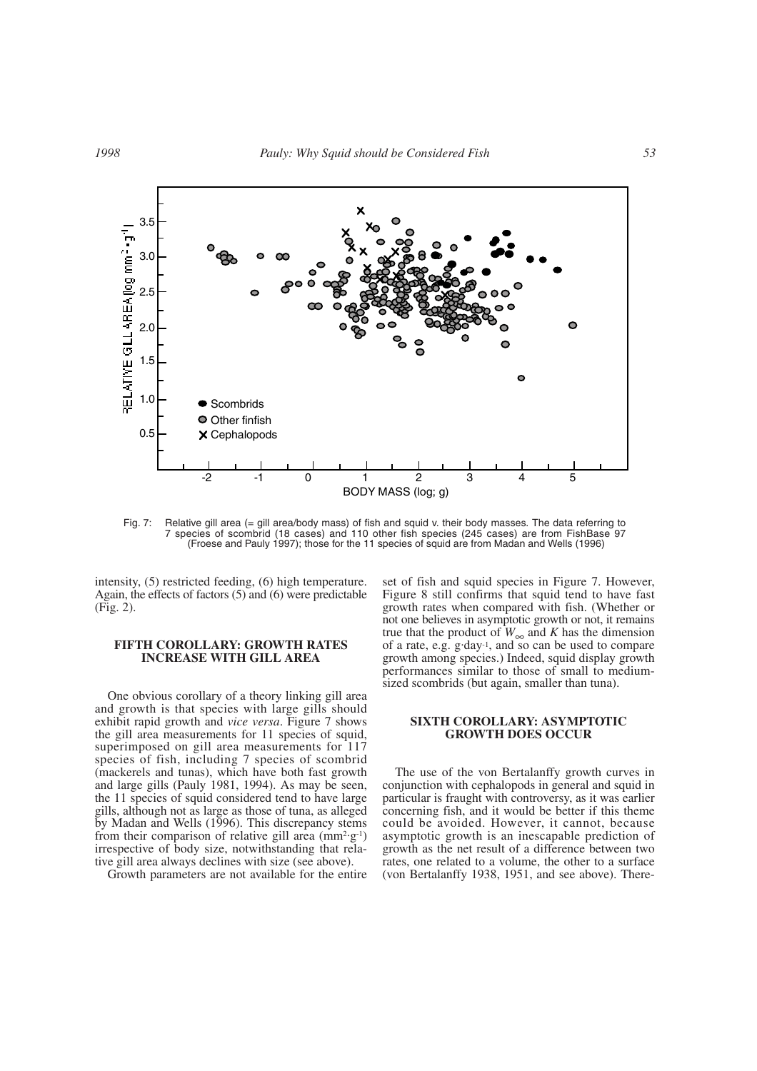

Fig. 7: Relative gill area (= gill area/body mass) of fish and squid v. their body masses. The data referring to 7 species of scombrid (18 cases) and 110 other fish species (245 cases) are from FishBase 97 (Froese and Pauly 1997); those for the 11 species of squid are from Madan and Wells (1996)

intensity, (5) restricted feeding, (6) high temperature. Again, the effects of factors (5) and (6) were predictable (Fig. 2).

### **FIFTH COROLLARY: GROWTH RATES INCREASE WITH GILL AREA**

One obvious corollary of a theory linking gill area and growth is that species with large gills should exhibit rapid growth and *vice versa*. Figure 7 shows the gill area measurements for 11 species of squid, superimposed on gill area measurements for 117 species of fish, including 7 species of scombrid (mackerels and tunas), which have both fast growth and large gills (Pauly 1981, 1994). As may be seen, the 11 species of squid considered tend to have large gills, although not as large as those of tuna, as alleged by Madan and Wells (1996). This discrepancy stems from their comparison of relative gill area  $(\text{mm}^2 \text{·} \text{g}^{-1})$ irrespective of body size, notwithstanding that relative gill area always declines with size (see above).

Growth parameters are not available for the entire

set of fish and squid species in Figure 7. However, Figure 8 still confirms that squid tend to have fast growth rates when compared with fish. (Whether or not one believes in asymptotic growth or not, it remains true that the product of  $W_{\infty}$  and *K* has the dimension of a rate, e.g.  $g \cdot day^{-1}$ , and so can be used to compare growth among species.) Indeed, squid display growth performances similar to those of small to mediumsized scombrids (but again, smaller than tuna).

## **SIXTH COROLLARY: ASYMPTOTIC GROWTH DOES OCCUR**

The use of the von Bertalanffy growth curves in conjunction with cephalopods in general and squid in particular is fraught with controversy, as it was earlier concerning fish, and it would be better if this theme could be avoided. However, it cannot, because asymptotic growth is an inescapable prediction of growth as the net result of a difference between two rates, one related to a volume, the other to a surface (von Bertalanffy 1938, 1951, and see above). There-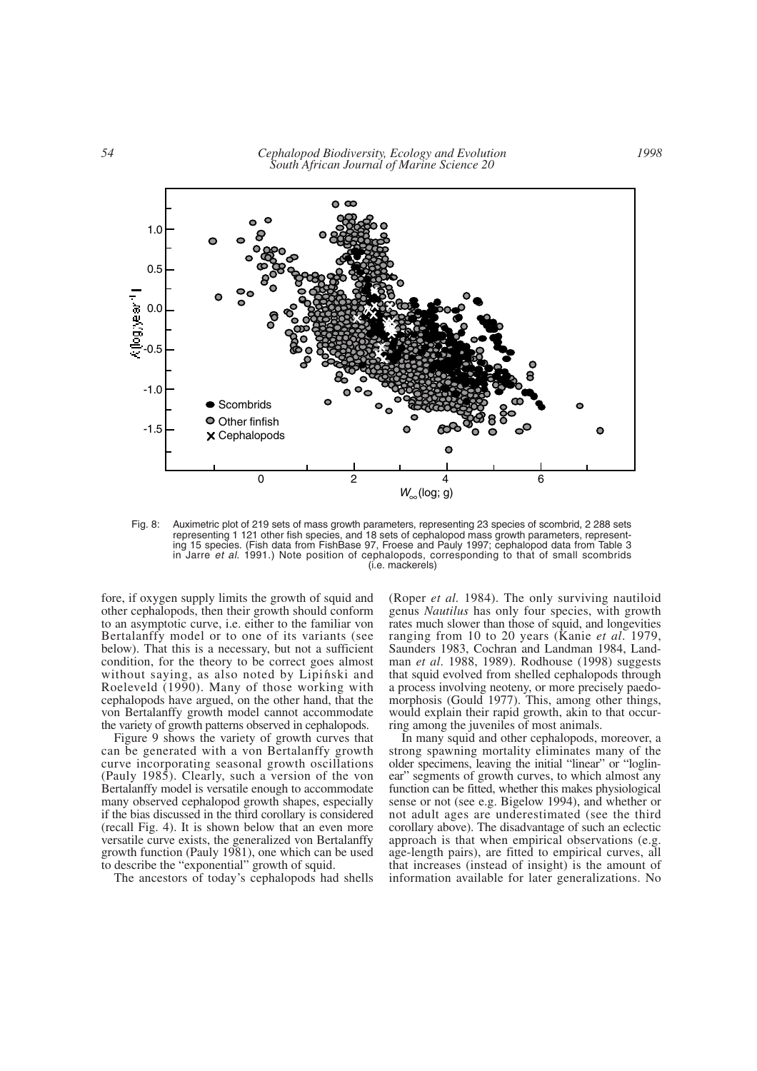

Fig. 8: Auximetric plot of 219 sets of mass growth parameters, representing 23 species of scombrid, 2 288 sets representing 1 121 other fish species, and 18 sets of cephalopod mass growth parameters, representing 15 species. (Fish data from FishBase 97, Froese and Pauly 1997; cephalopod data from Table 3 in Jarre *et al*. 1991.) Note position of cephalopods, corresponding to that of small scombrids (i.e. mackerels)

fore, if oxygen supply limits the growth of squid and other cephalopods, then their growth should conform to an asymptotic curve, i.e. either to the familiar von Bertalanffy model or to one of its variants (see below). That this is a necessary, but not a sufficient condition, for the theory to be correct goes almost without saying, as also noted by Lipinski and Roeleveld (1990). Many of those working with cephalopods have argued, on the other hand, that the von Bertalanffy growth model cannot accommodate the variety of growth patterns observed in cephalopods.

Figure 9 shows the variety of growth curves that can be generated with a von Bertalanffy growth curve incorporating seasonal growth oscillations (Pauly 1985). Clearly, such a version of the von Bertalanffy model is versatile enough to accommodate many observed cephalopod growth shapes, especially if the bias discussed in the third corollary is considered (recall Fig. 4). It is shown below that an even more versatile curve exists, the generalized von Bertalanffy growth function (Pauly 1981), one which can be used to describe the "exponential" growth of squid.

The ancestors of today's cephalopods had shells

(Roper *et al.* 1984). The only surviving nautiloid genus *Nautilus* has only four species, with growth rates much slower than those of squid, and longevities ranging from 10 to 20 years (Kanie *et al*. 1979, Saunders 1983, Cochran and Landman 1984, Landman *et al*. 1988, 1989). Rodhouse (1998) suggests that squid evolved from shelled cephalopods through a process involving neoteny, or more precisely paedomorphosis (Gould 1977). This, among other things, would explain their rapid growth, akin to that occurring among the juveniles of most animals.

In many squid and other cephalopods, moreover, a strong spawning mortality eliminates many of the older specimens, leaving the initial "linear" or "loglinear" segments of growth curves, to which almost any function can be fitted, whether this makes physiological sense or not (see e.g. Bigelow 1994), and whether or not adult ages are underestimated (see the third corollary above). The disadvantage of such an eclectic approach is that when empirical observations (e.g. age-length pairs), are fitted to empirical curves, all that increases (instead of insight) is the amount of information available for later generalizations. No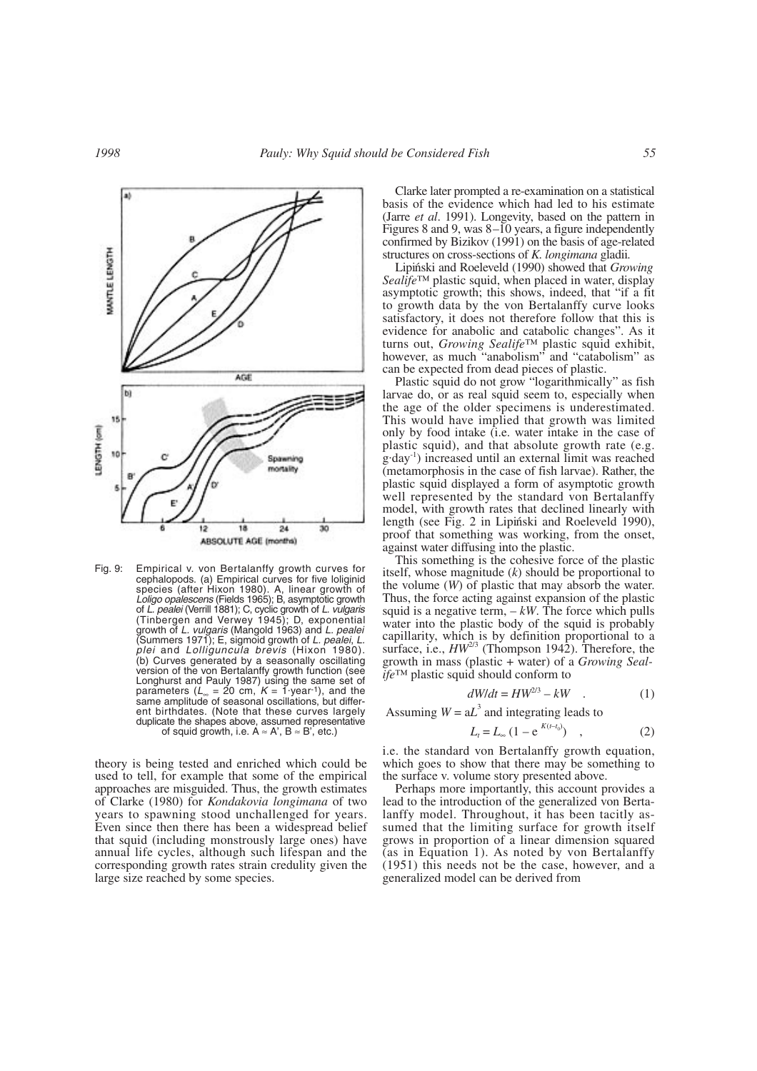

Fig. 9: Empirical v. von Bertalanffy growth curves for cephalopods. (a) Empirical curves for five loliginid species (after Hixon 1980). A, linear growth of *Loligo opalescens* (Fields 1965); B, asymptotic growth of *L. pealei* (Verrill 1881); C, cyclic growth of *L. vulgaris* (Tinbergen and Verwey 1945); D, exponential growth of *L. vulgaris* (Mangold 1963) and *L. pealei* (Summers 1971); E, sigmoid growth of *L. pealei*, *L. plei* and *Lolliguncula brevis* (Hixon 1980). (b) Curves generated by a seasonally oscillating version of the von Bertalanffy growth function (see Longhurst and Pauly 1987) using the same set of parameters (*L*<sup>∞</sup> = 20 cm, *<sup>K</sup>* = 1. year-1), and the same amplitude of seasonal oscillations, but different birthdates. (Note that these curves largely duplicate the shapes above, assumed representative of squid growth, i.e.  $A \approx A'$ ,  $B \approx B'$ , etc.)

theory is being tested and enriched which could be used to tell, for example that some of the empirical approaches are misguided. Thus, the growth estimates of Clarke (1980) for *Kondakovia longimana* of two years to spawning stood unchallenged for years. Even since then there has been a widespread belief that squid (including monstrously large ones) have annual life cycles, although such lifespan and the corresponding growth rates strain credulity given the large size reached by some species.

Clarke later prompted a re-examination on a statistical basis of the evidence which had led to his estimate (Jarre *et al*. 1991). Longevity, based on the pattern in Figures 8 and 9, was 8–10 years, a figure independently confirmed by Bizikov (1991) on the basis of age-related structures on cross-sections of *K. longimana* gladii*.*

Lipiński and Roeleveld (1990) showed that *Growing Sealife*™ plastic squid, when placed in water, display asymptotic growth; this shows, indeed, that "if a fit to growth data by the von Bertalanffy curve looks satisfactory, it does not therefore follow that this is evidence for anabolic and catabolic changes". As it turns out, *Growing Sealife*™ plastic squid exhibit, however, as much "anabolism" and "catabolism" as can be expected from dead pieces of plastic.

Plastic squid do not grow "logarithmically" as fish larvae do, or as real squid seem to, especially when the age of the older specimens is underestimated. This would have implied that growth was limited only by food intake (i.e. water intake in the case of plastic squid), and that absolute growth rate (e.g. g. day<sup>-1</sup>) increased until an external limit was reached (metamorphosis in the case of fish larvae). Rather, the plastic squid displayed a form of asymptotic growth well represented by the standard von Bertalanffy model, with growth rates that declined linearly with length (see Fig. 2 in Lipiński and Roeleveld 1990), proof that something was working, from the onset, against water diffusing into the plastic.

This something is the cohesive force of the plastic itself, whose magnitude (*k*) should be proportional to the volume (*W*) of plastic that may absorb the water. Thus, the force acting against expansion of the plastic squid is a negative term,  $-kW$ . The force which pulls water into the plastic body of the squid is probably capillarity, which is by definition proportional to a surface, i.e.,  $HW^{2/3}$  (Thompson 1942). Therefore, the face, *Thompson 1942*). Therefore, the growth in mass (plastic + water) of a *Growing Sealife*™ plastic squid should conform to

$$
dW/dt = HW^{2/3} - kW \quad . \tag{1}
$$

Assuming  $W = aL^3$  and integrating leads to

$$
L_t = L_{\infty} \left( 1 - e^{-K(t - t_0)} \right) \quad , \tag{2}
$$

i.e. the standard von Bertalanffy growth equation, which goes to show that there may be something to the surface v. volume story presented above.

Perhaps more importantly, this account provides a lead to the introduction of the generalized von Bertalanffy model. Throughout, it has been tacitly assumed that the limiting surface for growth itself grows in proportion of a linear dimension squared (as in Equation 1). As noted by von Bertalanffy (1951) this needs not be the case, however, and a generalized model can be derived from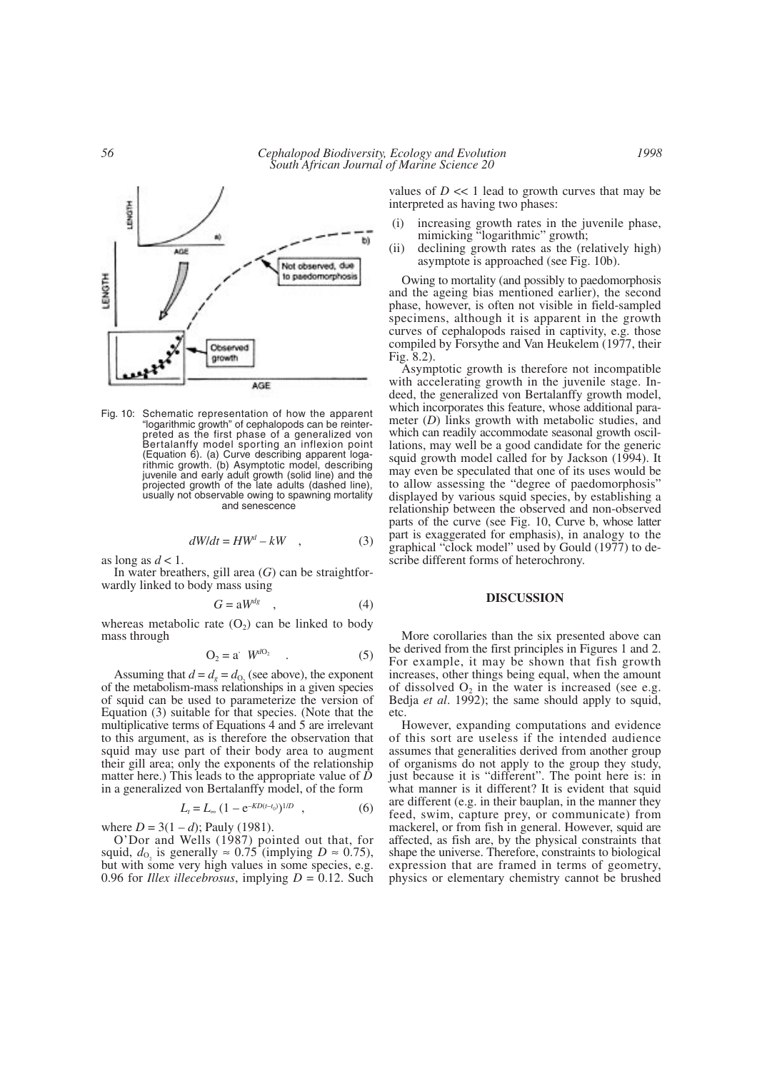

Fig. 10: Schematic representation of how the apparent "logarithmic growth" of cephalopods can be reinterpreted as the first phase of a generalized von Bertalanffy model sporting an inflexion point (Equation 6). (a) Curve describing apparent logarithmic growth. (b) Asymptotic model, describing juvenile and early adult growth (solid line) and the projected growth of the late adults (dashed line), usually not observable owing to spawning mortality and senescence

$$
dW/dt = HW^d - kW \quad , \tag{3}
$$

as long as  $d < 1$ .

In water breathers, gill area (*G*) can be straightforwardly linked to body mass using

$$
G = \mathrm{a}W^{dg} \quad , \tag{4}
$$

whereas metabolic rate  $(O_2)$  can be linked to body mass through

$$
O_2 = a' W^{dO_2} \qquad . \tag{5}
$$

Assuming that  $d = d_g = d_{0}$ , (see above), the exponent of the metabolism-mass relationships in a given species of squid can be used to parameterize the version of Equation (3) suitable for that species. (Note that the multiplicative terms of Equations 4 and 5 are irrelevant to this argument, as is therefore the observation that squid may use part of their body area to augment their gill area; only the exponents of the relationship matter here.) This leads to the appropriate value of *D* in a generalized von Bertalanffy model, of the form

$$
L_t = L_{\infty} \left( 1 - e^{-KD(t-t_0)} \right)^{1/D} \quad , \tag{6}
$$

where  $D = 3(1 - d)$ ; Pauly (1981).

O'Dor and Wells (1987) pointed out that, for squid,  $d_{\text{O}_2}$  is generally  $\approx 0.75$  (implying  $D \approx 0.75$ ), but with some very high values in some species, e.g. 0.96 for *Illex illecebrosus*, implying  $D = 0.12$ . Such

values of  $D \ll 1$  lead to growth curves that may be interpreted as having two phases:

- (i) increasing growth rates in the juvenile phase, mimicking "logarithmic" growth;
- (ii) declining growth rates as the (relatively high) asymptote is approached (see Fig. 10b).

Owing to mortality (and possibly to paedomorphosis and the ageing bias mentioned earlier), the second phase, however, is often not visible in field-sampled specimens, although it is apparent in the growth curves of cephalopods raised in captivity, e.g. those compiled by Forsythe and Van Heukelem (1977, their Fig. 8.2).

Asymptotic growth is therefore not incompatible with accelerating growth in the juvenile stage. Indeed, the generalized von Bertalanffy growth model, which incorporates this feature, whose additional parameter (*D*) links growth with metabolic studies, and which can readily accommodate seasonal growth oscillations, may well be a good candidate for the generic squid growth model called for by Jackson (1994). It may even be speculated that one of its uses would be to allow assessing the "degree of paedomorphosis" displayed by various squid species, by establishing a relationship between the observed and non-observed parts of the curve (see Fig. 10, Curve b, whose latter part is exaggerated for emphasis), in analogy to the graphical "clock model" used by Gould (1977) to describe different forms of heterochrony.

#### **DISCUSSION**

More corollaries than the six presented above can be derived from the first principles in Figures 1 and 2. For example, it may be shown that fish growth increases, other things being equal, when the amount of dissolved  $O_2$  in the water is increased (see e.g. Bedja *et al*. 1992); the same should apply to squid, etc.

However, expanding computations and evidence of this sort are useless if the intended audience assumes that generalities derived from another group of organisms do not apply to the group they study, just because it is "different". The point here is: in what manner is it different? It is evident that squid are different (e.g. in their bauplan, in the manner they feed, swim, capture prey, or communicate) from mackerel, or from fish in general. However, squid are affected, as fish are, by the physical constraints that shape the universe. Therefore, constraints to biological expression that are framed in terms of geometry, physics or elementary chemistry cannot be brushed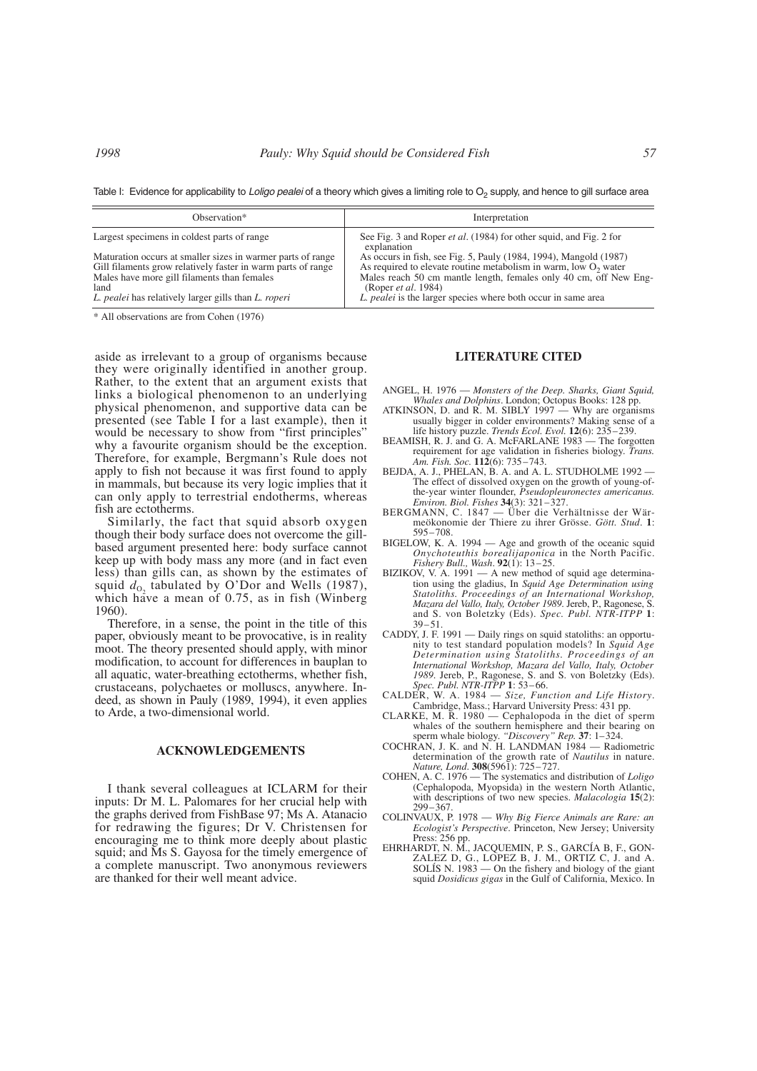Table I: Evidence for applicability to *Loligo pealei* of a theory which gives a limiting role to O<sub>2</sub> supply, and hence to gill surface area

| Observation*                                                 | Interpretation                                                                           |
|--------------------------------------------------------------|------------------------------------------------------------------------------------------|
| Largest specimens in coldest parts of range                  | See Fig. 3 and Roper <i>et al.</i> (1984) for other squid, and Fig. 2 for<br>explanation |
| Maturation occurs at smaller sizes in warmer parts of range  | As occurs in fish, see Fig. 5, Pauly (1984, 1994), Mangold (1987)                        |
| Gill filaments grow relatively faster in warm parts of range | As required to elevate routine metabolism in warm, low $O_2$ water                       |
| Males have more gill filaments than females                  | Males reach 50 cm mantle length, females only 40 cm, off New Eng-                        |
| land                                                         | (Roper <i>et al.</i> 1984)                                                               |
| L. pealei has relatively larger gills than L. roperi         | L. pealei is the larger species where both occur in same area                            |

\* All observations are from Cohen (1976)

aside as irrelevant to a group of organisms because they were originally identified in another group. Rather, to the extent that an argument exists that links a biological phenomenon to an underlying physical phenomenon, and supportive data can be presented (see Table I for a last example), then it would be necessary to show from "first principles" why a favourite organism should be the exception. Therefore, for example, Bergmann's Rule does not apply to fish not because it was first found to apply in mammals, but because its very logic implies that it can only apply to terrestrial endotherms, whereas fish are ectotherms.

Similarly, the fact that squid absorb oxygen though their body surface does not overcome the gillbased argument presented here: body surface cannot keep up with body mass any more (and in fact even less) than gills can, as shown by the estimates of squid  $d_{0}$ , tabulated by O'Dor and Wells (1987), which have a mean of 0.75, as in fish (Winberg) 1960).

Therefore, in a sense, the point in the title of this paper, obviously meant to be provocative, is in reality moot. The theory presented should apply, with minor modification, to account for differences in bauplan to all aquatic, water-breathing ectotherms, whether fish, crustaceans, polychaetes or molluscs, anywhere. Indeed, as shown in Pauly (1989, 1994), it even applies to Arde, a two-dimensional world.

#### **ACKNOWLEDGEMENTS**

I thank several colleagues at ICLARM for their inputs: Dr M. L. Palomares for her crucial help with the graphs derived from FishBase 97; Ms A. Atanacio for redrawing the figures; Dr V. Christensen for encouraging me to think more deeply about plastic squid; and Ms S. Gayosa for the timely emergence of a complete manuscript. Two anonymous reviewers are thanked for their well meant advice.

# **LITERATURE CITED**

- ANGEL, H. 1976 *Monsters of the Deep. Sharks, Giant Squid, Whales and Dolphins*. London; Octopus Books: 128 pp.
- ATKINSON, D. and R. M. SIBLY  $1997 W$ hy are organisms usually bigger in colder environments? Making sense of a life history puzzle. *Trends Ecol. Evol.* **12**(6): 235–239.
- BEAMISH, R. J. and G. A. McFARLANE 1983 The forgotten requirement for age validation in fisheries biology. *Trans. Am. Fish. Soc.* **112**(6): 735–743.
- BEJDA, A. J., PHELAN, B. A. and A. L. STUDHOLME 1992 -The effect of dissolved oxygen on the growth of young-of-the-year winter flounder, *Pseudopleuronectes americanus. Environ. Biol. Fishes* **34**(3): 321–327.
- BERGMANN, C. 1847 Über die Verhältnisse der Wärmeökonomie der Thiere zu ihrer Grösse. *Gött. Stud*. **1**: 595–708.
- BIGELOW, K. A. 1994 Age and growth of the oceanic squid *Onychoteuthis borealijaponica* in the North Pacific. *Fishery Bull., Wash*. **92**(1): 13–25.
- BIZIKOV, V. A. 1991 A new method of squid age determination using the gladius, In *Squid Age Determination using Statoliths. Proceedings of an International Workshop, Mazara del Vallo, Italy, October 1989*. Jereb, P., Ragonese, S. and S. von Boletzky (Eds). *Spec. Publ. NTR-ITPP* **1**: 39–51.
- CADDY, J. F. 1991 Daily rings on squid statoliths: an opportunity to test standard population models? In *Squid Age Determination using Statoliths. Proceedings of an International Workshop, Mazara del Vallo, Italy, October 1989*. Jereb, P., Ragonese, S. and S. von Boletzky (Eds). *Spec. Publ. NTR-ITPP* **1**: 53–66.
- CALDER, W. A. 1984 *Size, Function and Life History*. Cambridge, Mass.; Harvard University Press: 431 pp.
- CLARKE, M. R. 1980 Cephalopoda in the diet of sperm whales of the southern hemisphere and their bearing on sperm whale biology. *"Discovery" Rep.* **37**: 1–324.
- COCHRAN, J. K. and N. H. LANDMAN 1984 Radiometric determination of the growth rate of *Nautilus* in nature. *Nature, Lond*. **308**(5961): 725–727.
- COHEN, A. C. 1976 The systematics and distribution of *Loligo* (Cephalopoda, Myopsida) in the western North Atlantic, with descriptions of two new species. *Malacologia* **15**(2): 299–367.
- COLINVAUX, P. 1978 *Why Big Fierce Animals are Rare: an Ecologist's Perspective*. Princeton, New Jersey; University Press: 256 pp.
- EHRHARDT, N. M., JACQUEMIN, P. S., GARCÍA B, F., GON-ZALEZ D, G., LOPEZ B, J. M., ORTIZ C, J. and A. SOLÍS N. 1983 — On the fishery and biology of the giant squid *Dosidicus gigas* in the Gulf of California, Mexico. In